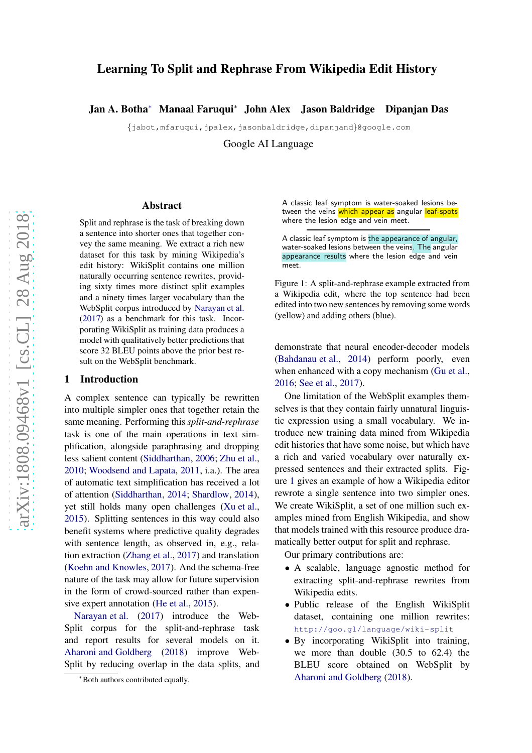# Learning To Split and Rephrase From Wikipedia Edit History

Jan A. Botha<sup>∗</sup> Manaal Faruqui<sup>∗</sup> John Alex Jason Baldridge Dipanjan Das

{jabot,mfaruqui,jpalex,jasonbaldridge,dipanjand}@google.com

Google AI Language

#### Abstract

Split and rephrase is the task of breaking down a sentence into shorter ones that together convey the same meaning. We extract a rich new dataset for this task by mining Wikipedia's edit history: WikiSplit contains one million naturally occurring sentence rewrites, providing sixty times more distinct split examples and a ninety times larger vocabulary than the WebSplit corpus introduced by [Narayan et al.](#page-5-0) [\(2017\)](#page-5-0) as a benchmark for this task. Incorporating WikiSplit as training data produces a model with qualitatively better predictions that score 32 BLEU points above the prior best result on the WebSplit benchmark.

## 1 Introduction

A complex sentence can typically be rewritten into multiple simpler ones that together retain the same meaning. Performing this *split-and-rephrase* task is one of the main operations in text simplification, alongside paraphrasing and dropping less salient content [\(Siddharthan](#page-5-1), [2006](#page-5-1); [Zhu et al.,](#page-5-2) [2010;](#page-5-2) [Woodsend and Lapata](#page-5-3), [2011](#page-5-3), i.a.). The area of automatic text simplification has received a lot of attention [\(Siddharthan](#page-5-4), [2014;](#page-5-4) [Shardlow](#page-5-5), [2014\)](#page-5-5), yet still holds many open challenges [\(Xu et al.,](#page-5-6) [2015\)](#page-5-6). Splitting sentences in this way could also benefit systems where predictive quality degrades with sentence length, as observed in, e.g., relation extraction [\(Zhang et al.,](#page-5-7) [2017\)](#page-5-7) and translation [\(Koehn and Knowles](#page-5-8), [2017\)](#page-5-8). And the schema-free nature of the task may allow for future supervision in the form of crowd-sourced rather than expensive expert annotation [\(He et al.,](#page-5-9) [2015](#page-5-9)).

[Narayan et al.](#page-5-0) [\(2017](#page-5-0)) introduce the Web-Split corpus for the split-and-rephrase task and report results for several models on it. [Aharoni and Goldberg](#page-5-10) [\(2018](#page-5-10)) improve Web-Split by reducing overlap in the data splits, and A classic leaf symptom is water-soaked lesions between the veins which appear as angular leaf-spots where the lesion edge and vein meet.

A classic leaf symptom is the appearance of angular, water-soaked lesions between the veins. The angular appearance results where the lesion edge and vein meet.

<span id="page-0-0"></span>Figure 1: A split-and-rephrase example extracted from a Wikipedia edit, where the top sentence had been edited into two new sentences by removing some words (yellow) and adding others (blue).

demonstrate that neural encoder-decoder models [\(Bahdanau et al.](#page-5-11), [2014](#page-5-11)) perform poorly, even when enhanced with a copy mechanism [\(Gu et al.,](#page-5-12) [2016](#page-5-12); [See et al.,](#page-5-13) [2017\)](#page-5-13).

One limitation of the WebSplit examples themselves is that they contain fairly unnatural linguistic expression using a small vocabulary. We introduce new training data mined from Wikipedia edit histories that have some noise, but which have a rich and varied vocabulary over naturally expressed sentences and their extracted splits. Figure [1](#page-0-0) gives an example of how a Wikipedia editor rewrote a single sentence into two simpler ones. We create WikiSplit, a set of one million such examples mined from English Wikipedia, and show that models trained with this resource produce dramatically better output for split and rephrase.

Our primary contributions are:

- A scalable, language agnostic method for extracting split-and-rephrase rewrites from Wikipedia edits.
- Public release of the English WikiSplit dataset, containing one million rewrites: <http://goo.gl/language/wiki-split>
- By incorporating WikiSplit into training, we more than double (30.5 to 62.4) the BLEU score obtained on WebSplit by [Aharoni and Goldberg](#page-5-10) [\(2018](#page-5-10)).

<sup>∗</sup>Both authors contributed equally.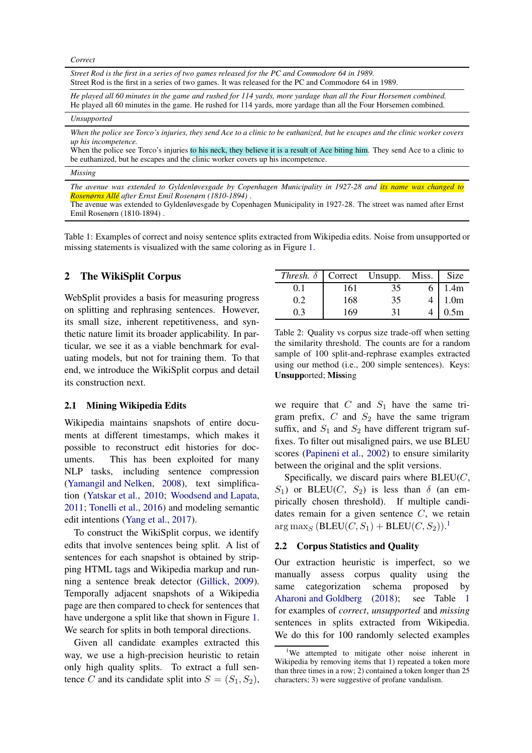*Correct*

*Street Rod is the first in a series of two games released for the PC and Commodore 64 in 1989.* Street Rod is the first in a series of two games. It was released for the PC and Commodore 64 in 1989.

*He played all 60 minutes in the game and rushed for 114 yards, more yardage than all the Four Horsemen combined.* He played all 60 minutes in the game. He rushed for 114 yards, more yardage than all the Four Horsemen combined.

#### *Unsupported*

*When the police see Torco's injuries, they send Ace to a clinic to be euthanized, but he escapes and the clinic worker covers up his incompetence.*

When the police see Torco's injuries to his neck, they believe it is a result of Ace biting him. They send Ace to a clinic to be euthanized, but he escapes and the clinic worker covers up his incompetence.

*Missing*

*The avenue was extended to Gyldenløvesgade by Copenhagen Municipality in 1927-28 and its name was changed to Rosenørns All´e after Ernst Emil Rosenørn (1810-1894)* .

The avenue was extended to Gyldenløvesgade by Copenhagen Municipality in 1927-28. The street was named after Ernst Emil Rosenørn (1810-1894) .

<span id="page-1-1"></span>Table 1: Examples of correct and noisy sentence splits extracted from Wikipedia edits. Noise from unsupported or missing statements is visualized with the same coloring as in Figure [1.](#page-0-0)

## 2 The WikiSplit Corpus

WebSplit provides a basis for measuring progress on splitting and rephrasing sentences. However, its small size, inherent repetitiveness, and synthetic nature limit its broader applicability. In particular, we see it as a viable benchmark for evaluating models, but not for training them. To that end, we introduce the WikiSplit corpus and detail its construction next.

#### 2.1 Mining Wikipedia Edits

Wikipedia maintains snapshots of entire documents at different timestamps, which makes it possible to reconstruct edit histories for documents. This has been exploited for many NLP tasks, including sentence compression [\(Yamangil and Nelken](#page-5-14), [2008](#page-5-14)), text simplification [\(Yatskar et al.,](#page-5-15) [2010](#page-5-15); [Woodsend and Lapata](#page-5-3), [2011;](#page-5-3) [Tonelli et al.](#page-5-16), [2016\)](#page-5-16) and modeling semantic edit intentions [\(Yang et al.,](#page-5-17) [2017](#page-5-17)).

To construct the WikiSplit corpus, we identify edits that involve sentences being split. A list of sentences for each snapshot is obtained by stripping HTML tags and Wikipedia markup and running a sentence break detector [\(Gillick](#page-5-18), [2009\)](#page-5-18). Temporally adjacent snapshots of a Wikipedia page are then compared to check for sentences that have undergone a split like that shown in Figure [1.](#page-0-0) We search for splits in both temporal directions.

Given all candidate examples extracted this way, we use a high-precision heuristic to retain only high quality splits. To extract a full sentence C and its candidate split into  $S = (S_1, S_2)$ ,

| <i>Thresh.</i> $\delta$   Correct Unsupp. Miss. |     |    | Size             |
|-------------------------------------------------|-----|----|------------------|
|                                                 | 161 | 35 | 1.4m             |
| 0.2                                             | 168 | 35 | 1.0 <sub>m</sub> |
| 0.3                                             | 169 | 31 | 0.5 <sub>m</sub> |

<span id="page-1-2"></span>Table 2: Quality vs corpus size trade-off when setting the similarity threshold. The counts are for a random sample of 100 split-and-rephrase examples extracted using our method (i.e., 200 simple sentences). Keys: Unsupported; Missing

we require that  $C$  and  $S_1$  have the same trigram prefix,  $C$  and  $S_2$  have the same trigram suffix, and  $S_1$  and  $S_2$  have different trigram suffixes. To filter out misaligned pairs, we use BLEU scores [\(Papineni et al.,](#page-5-19) [2002](#page-5-19)) to ensure similarity between the original and the split versions.

Specifically, we discard pairs where  $BLEU(C,$  $S_1$ ) or BLEU(C,  $S_2$ ) is less than  $\delta$  (an empirically chosen threshold). If multiple candidates remain for a given sentence  $C$ , we retain  $\arg \max_S (\text{BLEU}(C, S_1) + \text{BLEU}(C, S_2)).^1$  $\arg \max_S (\text{BLEU}(C, S_1) + \text{BLEU}(C, S_2)).^1$  $\arg \max_S (\text{BLEU}(C, S_1) + \text{BLEU}(C, S_2)).^1$ 

#### 2.2 Corpus Statistics and Quality

Our extraction heuristic is imperfect, so we manually assess corpus quality using the same categorization schema proposed by [Aharoni and Goldberg](#page-5-10) [\(2018](#page-5-10)); see Table [1](#page-1-1) for examples of *correct*, *unsupported* and *missing* sentences in splits extracted from Wikipedia. We do this for 100 randomly selected examples

<span id="page-1-0"></span><sup>&</sup>lt;sup>1</sup>We attempted to mitigate other noise inherent in Wikipedia by removing items that 1) repeated a token more than three times in a row; 2) contained a token longer than 25 characters; 3) were suggestive of profane vandalism.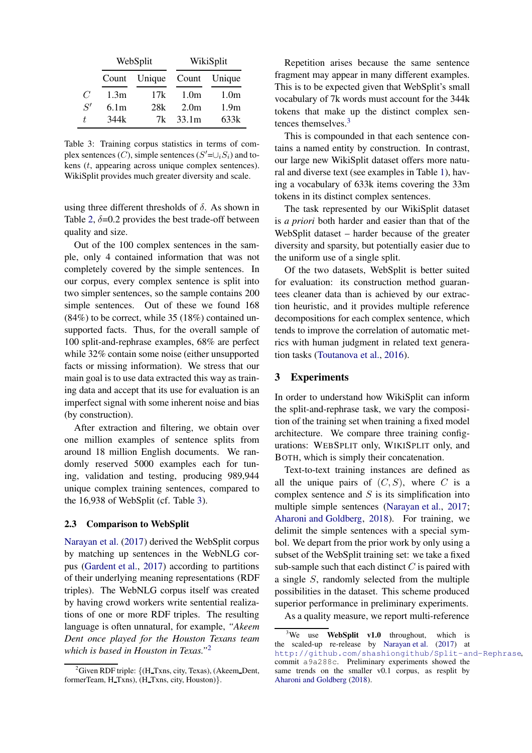|                | WebSplit         |        | WikiSplit        |                  |
|----------------|------------------|--------|------------------|------------------|
|                | Count            | Unique | Count            | Unique           |
| $\overline{C}$ | 1.3 <sub>m</sub> | 17k    | 1.0 <sub>m</sub> | 1.0 <sub>m</sub> |
| S'             | 6.1 <sub>m</sub> | 28k    | 2.0 <sub>m</sub> | 1.9 <sub>m</sub> |
|                | 344k             | 7k     | 33.1m            | 633k             |

<span id="page-2-0"></span>Table 3: Training corpus statistics in terms of complex sentences (C), simple sentences ( $S' = \cup_i S_i$ ) and tokens (t, appearing across unique complex sentences). WikiSplit provides much greater diversity and scale.

using three different thresholds of  $\delta$ . As shown in Table [2,](#page-1-2)  $\delta$ =0.2 provides the best trade-off between quality and size.

Out of the 100 complex sentences in the sample, only 4 contained information that was not completely covered by the simple sentences. In our corpus, every complex sentence is split into two simpler sentences, so the sample contains 200 simple sentences. Out of these we found 168 (84%) to be correct, while 35 (18%) contained unsupported facts. Thus, for the overall sample of 100 split-and-rephrase examples, 68% are perfect while 32% contain some noise (either unsupported facts or missing information). We stress that our main goal is to use data extracted this way as training data and accept that its use for evaluation is an imperfect signal with some inherent noise and bias (by construction).

After extraction and filtering, we obtain over one million examples of sentence splits from around 18 million English documents. We randomly reserved 5000 examples each for tuning, validation and testing, producing 989,944 unique complex training sentences, compared to the 16,938 of WebSplit (cf. Table [3\)](#page-2-0).

#### 2.3 Comparison to WebSplit

[Narayan et al.](#page-5-0) [\(2017](#page-5-0)) derived the WebSplit corpus by matching up sentences in the WebNLG corpus [\(Gardent et al.,](#page-5-20) [2017](#page-5-20)) according to partitions of their underlying meaning representations (RDF triples). The WebNLG corpus itself was created by having crowd workers write sentential realizations of one or more RDF triples. The resulting language is often unnatural, for example, *"Akeem Dent once played for the Houston Texans team which is based in Houston in Texas."*[2](#page-2-1)

Repetition arises because the same sentence fragment may appear in many different examples. This is to be expected given that WebSplit's small vocabulary of 7k words must account for the 344k tokens that make up the distinct complex sen-tences themselves.<sup>[3](#page-2-2)</sup>

This is compounded in that each sentence contains a named entity by construction. In contrast, our large new WikiSplit dataset offers more natural and diverse text (see examples in Table [1\)](#page-1-1), having a vocabulary of 633k items covering the 33m tokens in its distinct complex sentences.

The task represented by our WikiSplit dataset is *a priori* both harder and easier than that of the WebSplit dataset – harder because of the greater diversity and sparsity, but potentially easier due to the uniform use of a single split.

Of the two datasets, WebSplit is better suited for evaluation: its construction method guarantees cleaner data than is achieved by our extraction heuristic, and it provides multiple reference decompositions for each complex sentence, which tends to improve the correlation of automatic metrics with human judgment in related text generation tasks [\(Toutanova et al.](#page-5-21), [2016](#page-5-21)).

### 3 Experiments

In order to understand how WikiSplit can inform the split-and-rephrase task, we vary the composition of the training set when training a fixed model architecture. We compare three training configurations: WEBSPLIT only, WIKISPLIT only, and BOTH, which is simply their concatenation.

Text-to-text training instances are defined as all the unique pairs of  $(C, S)$ , where C is a complex sentence and  $S$  is its simplification into multiple simple sentences [\(Narayan et al.](#page-5-0), [2017](#page-5-0); [Aharoni and Goldberg](#page-5-10), [2018](#page-5-10)). For training, we delimit the simple sentences with a special symbol. We depart from the prior work by only using a subset of the WebSplit training set: we take a fixed sub-sample such that each distinct  $C$  is paired with a single S, randomly selected from the multiple possibilities in the dataset. This scheme produced superior performance in preliminary experiments.

As a quality measure, we report multi-reference

<span id="page-2-1"></span> ${}^{2}$ Given RDF triple: {(H\_Txns, city, Texas), (Akeem\_Dent, formerTeam, H\_Txns), (H\_Txns, city, Houston) }.

<span id="page-2-2"></span> $3$ We use WebSplit v1.0 throughout, which is the scaled-up re-release by [Narayan et al.](#page-5-0) [\(2017\)](#page-5-0) at <http://github.com/shashiongithub/Split-and-Rephrase>, commit a9a288c. Preliminary experiments showed the same trends on the smaller v0.1 corpus, as resplit by [Aharoni and Goldberg](#page-5-10) [\(2018](#page-5-10)).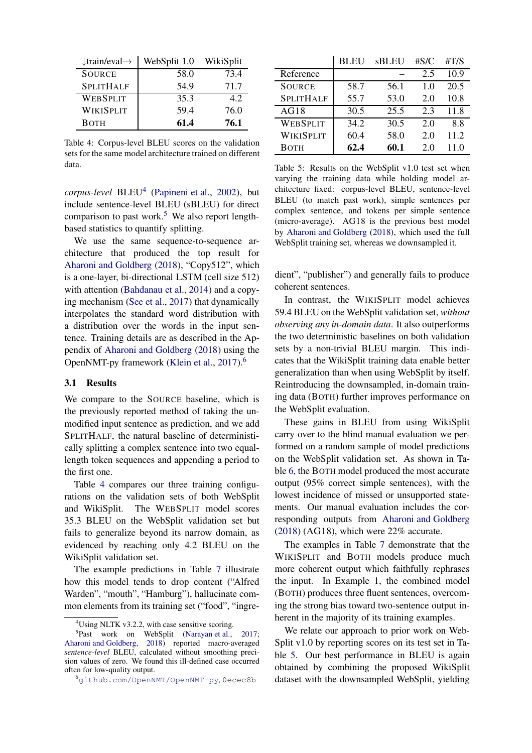| $\downarrow$ train/eval $\rightarrow$ | WebSplit 1.0 | WikiSplit |
|---------------------------------------|--------------|-----------|
| <b>SOURCE</b>                         | 58.0         | 73.4      |
| <b>SPLITHALF</b>                      | 54.9         | 71.7      |
| WEBSPLIT                              | 35.3         | 42        |
| WIKISPLIT                             | 59.4         | 76.0      |
| <b>BOTH</b>                           | 61.4         | 76.1      |

<span id="page-3-3"></span>Table 4: Corpus-level BLEU scores on the validation sets for the same model architecture trained on different data.

*corpus-level* BLEU[4](#page-3-0) [\(Papineni et al.,](#page-5-19) [2002](#page-5-19)), but include sentence-level BLEU (sBLEU) for direct comparison to past work.<sup>[5](#page-3-1)</sup> We also report lengthbased statistics to quantify splitting.

We use the same sequence-to-sequence architecture that produced the top result for [Aharoni and Goldberg](#page-5-10) [\(2018](#page-5-10)), "Copy512", which is a one-layer, bi-directional LSTM (cell size 512) with attention [\(Bahdanau et al.](#page-5-11), [2014](#page-5-11)) and a copying mechanism [\(See et al.](#page-5-13), [2017](#page-5-13)) that dynamically interpolates the standard word distribution with a distribution over the words in the input sentence. Training details are as described in the Appendix of [Aharoni and Goldberg](#page-5-10) [\(2018](#page-5-10)) using the OpenNMT-py framework [\(Klein et al.](#page-5-22), [2017](#page-5-22)).[6](#page-3-2)

#### 3.1 Results

We compare to the SOURCE baseline, which is the previously reported method of taking the unmodified input sentence as prediction, and we add SPLITHALF, the natural baseline of deterministically splitting a complex sentence into two equallength token sequences and appending a period to the first one.

Table [4](#page-3-3) compares our three training configurations on the validation sets of both WebSplit and WikiSplit. The WEBSPLIT model scores 35.3 BLEU on the WebSplit validation set but fails to generalize beyond its narrow domain, as evidenced by reaching only 4.2 BLEU on the WikiSplit validation set.

The example predictions in Table [7](#page-4-0) illustrate how this model tends to drop content ("Alfred Warden", "mouth", "Hamburg"), hallucinate common elements from its training set ("food", "ingre-

|                  | <b>BLEU</b> | sBLEU | #S/C | #T/S |
|------------------|-------------|-------|------|------|
| Reference        |             |       | 2.5  | 10.9 |
| <b>SOURCE</b>    | 58.7        | 56.1  | 1.0  | 20.5 |
| <b>SPLITHALF</b> | 55.7        | 53.0  | 2.0  | 10.8 |
| AG18             | 30.5        | 25.5  | 2.3  | 11.8 |
| WEBSPLIT         | 34.2        | 30.5  | 2.0  | 8.8  |
| WIKISPLIT        | 60.4        | 58.0  | 2.0  | 11.2 |
| Вотн             | 62.4        | 60.1  | 2.0  | 11.0 |

<span id="page-3-4"></span>Table 5: Results on the WebSplit v1.0 test set when varying the training data while holding model architecture fixed: corpus-level BLEU, sentence-level BLEU (to match past work), simple sentences per complex sentence, and tokens per simple sentence (micro-average). AG18 is the previous best model by [Aharoni and Goldberg](#page-5-10) [\(2018\)](#page-5-10), which used the full WebSplit training set, whereas we downsampled it.

dient", "publisher") and generally fails to produce coherent sentences.

In contrast, the WIKISPLIT model achieves 59.4 BLEU on the WebSplit validation set, *without observing any in-domain data*. It also outperforms the two deterministic baselines on both validation sets by a non-trivial BLEU margin. This indicates that the WikiSplit training data enable better generalization than when using WebSplit by itself. Reintroducing the downsampled, in-domain training data (BOTH) further improves performance on the WebSplit evaluation.

These gains in BLEU from using WikiSplit carry over to the blind manual evaluation we performed on a random sample of model predictions on the WebSplit validation set. As shown in Table [6,](#page-4-1) the BOTH model produced the most accurate output (95% correct simple sentences), with the lowest incidence of missed or unsupported statements. Our manual evaluation includes the corresponding outputs from [Aharoni and Goldberg](#page-5-10)  $(2018)$  (AG18), which were 22% accurate.

The examples in Table [7](#page-4-0) demonstrate that the WIKISPLIT and BOTH models produce much more coherent output which faithfully rephrases the input. In Example 1, the combined model (BOTH) produces three fluent sentences, overcoming the strong bias toward two-sentence output inherent in the majority of its training examples.

We relate our approach to prior work on Web-Split v1.0 by reporting scores on its test set in Table [5.](#page-3-4) Our best performance in BLEU is again obtained by combining the proposed WikiSplit dataset with the downsampled WebSplit, yielding

<span id="page-3-0"></span> $4$ Using NLTK v3.2.2, with case sensitive scoring.

<span id="page-3-1"></span><sup>&</sup>lt;sup>5</sup>Past work on WebSplit [\(Narayan et al.](#page-5-0), [2017;](#page-5-0) [Aharoni and Goldberg](#page-5-10), [2018\)](#page-5-10) reported macro-averaged *sentence-level* BLEU, calculated without smoothing precision values of zero. We found this ill-defined case occurred often for low-quality output.

<span id="page-3-2"></span><sup>6</sup>[github.com/OpenNMT/OpenNMT-py](http://github.com/OpenNMT/OpenNMT-py), 0ecec8b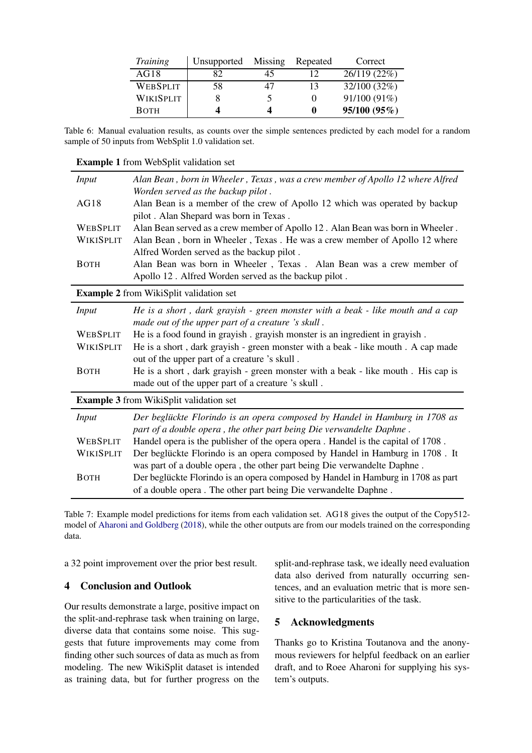| <i>Training</i>  | Unsupported | Missing | Repeated | Correct      |
|------------------|-------------|---------|----------|--------------|
| AG18             | 82          | 45      |          | 26/119 (22%) |
| <b>WEBSPLIT</b>  | 58          | 47      | 13       | 32/100 (32%) |
| <b>WIKISPLIT</b> |             |         | $\theta$ | 91/100 (91%) |
| <b>BOTH</b>      |             |         | 0        | 95/100 (95%) |

Table 6: Manual evaluation results, as counts over the simple sentences predicted by each model for a random sample of 50 inputs from WebSplit 1.0 validation set.

<span id="page-4-1"></span>Example 1 from WebSplit validation set

| <b>Input</b>    | Alan Bean, born in Wheeler, Texas, was a crew member of Apollo 12 where Alfred<br>Worden served as the backup pilot. |
|-----------------|----------------------------------------------------------------------------------------------------------------------|
| AG18            | Alan Bean is a member of the crew of Apollo 12 which was operated by backup                                          |
|                 | pilot. Alan Shepard was born in Texas.                                                                               |
| <b>WEBSPLIT</b> | Alan Bean served as a crew member of Apollo 12. Alan Bean was born in Wheeler.                                       |
| WIKISPLIT       | Alan Bean, born in Wheeler, Texas. He was a crew member of Apollo 12 where                                           |
|                 | Alfred Worden served as the backup pilot.                                                                            |
| <b>BOTH</b>     | Alan Bean was born in Wheeler, Texas. Alan Bean was a crew member of                                                 |
|                 | Apollo 12. Alfred Worden served as the backup pilot.                                                                 |
|                 | <b>Example 2</b> from WikiSplit validation set                                                                       |
| Input           | He is a short, dark grayish - green monster with a beak - like mouth and a cap                                       |
|                 | made out of the upper part of a creature 's skull.                                                                   |
| <b>WEBSPLIT</b> | He is a food found in grayish. grayish monster is an ingredient in grayish.                                          |
| WIKISPLIT       | He is a short, dark grayish - green monster with a beak - like mouth. A cap made                                     |
|                 | out of the upper part of a creature 's skull.                                                                        |
| <b>BOTH</b>     | He is a short, dark grayish - green monster with a beak - like mouth. His cap is                                     |
|                 | made out of the upper part of a creature 's skull.                                                                   |
|                 | <b>Example 3</b> from WikiSplit validation set                                                                       |
| Input           | Der beglückte Florindo is an opera composed by Handel in Hamburg in 1708 as                                          |
|                 | part of a double opera, the other part being Die verwandelte Daphne.                                                 |
| <b>WEBSPLIT</b> | Handel opera is the publisher of the opera opera. Handel is the capital of 1708.                                     |
| WIKISPLIT       | Der beglückte Florindo is an opera composed by Handel in Hamburg in 1708. It                                         |
|                 | was part of a double opera, the other part being Die verwandelte Daphne.                                             |
| <b>BOTH</b>     | Der beglückte Florindo is an opera composed by Handel in Hamburg in 1708 as part                                     |
|                 | of a double opera. The other part being Die verwandelte Daphne.                                                      |

<span id="page-4-0"></span>Table 7: Example model predictions for items from each validation set. AG18 gives the output of the Copy512 model of [Aharoni and Goldberg](#page-5-10) [\(2018\)](#page-5-10), while the other outputs are from our models trained on the corresponding data.

a 32 point improvement over the prior best result.

## 4 Conclusion and Outlook

Our results demonstrate a large, positive impact on the split-and-rephrase task when training on large, diverse data that contains some noise. This suggests that future improvements may come from finding other such sources of data as much as from modeling. The new WikiSplit dataset is intended as training data, but for further progress on the

split-and-rephrase task, we ideally need evaluation data also derived from naturally occurring sentences, and an evaluation metric that is more sensitive to the particularities of the task.

## 5 Acknowledgments

Thanks go to Kristina Toutanova and the anonymous reviewers for helpful feedback on an earlier draft, and to Roee Aharoni for supplying his system's outputs.